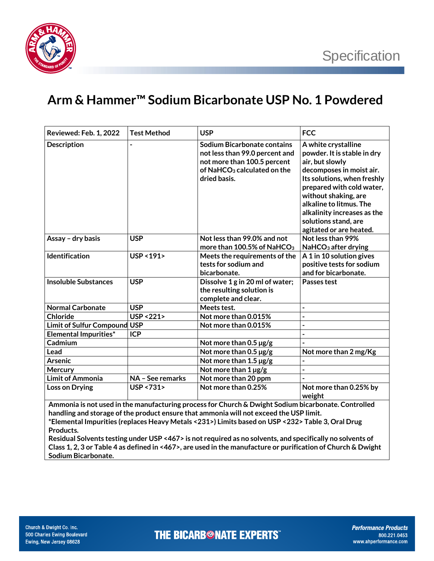

## **Arm & Hammer™ Sodium Bicarbonate USP No. 1 Powdered**

| <b>Reviewed: Feb. 1, 2022</b>                                                                                                                                                                 | <b>Test Method</b>     | <b>USP</b>                                                                                                                                              | <b>FCC</b>                                                                                                                                                                                                                                                                                         |  |
|-----------------------------------------------------------------------------------------------------------------------------------------------------------------------------------------------|------------------------|---------------------------------------------------------------------------------------------------------------------------------------------------------|----------------------------------------------------------------------------------------------------------------------------------------------------------------------------------------------------------------------------------------------------------------------------------------------------|--|
| <b>Description</b>                                                                                                                                                                            |                        | Sodium Bicarbonate contains<br>not less than 99.0 percent and<br>not more than 100.5 percent<br>of NaHCO <sub>3</sub> calculated on the<br>dried basis. | A white crystalline<br>powder. It is stable in dry<br>air, but slowly<br>decomposes in moist air.<br>Its solutions, when freshly<br>prepared with cold water,<br>without shaking, are<br>alkaline to litmus. The<br>alkalinity increases as the<br>solutions stand, are<br>agitated or are heated. |  |
| Assay - dry basis                                                                                                                                                                             | <b>USP</b>             | Not less than 99.0% and not<br>more than 100.5% of NaHCO <sub>3</sub>                                                                                   | Not less than 99%<br>NaHCO <sub>3</sub> after drying                                                                                                                                                                                                                                               |  |
| <b>Identification</b>                                                                                                                                                                         | <b>USP &lt;191&gt;</b> | Meets the requirements of the<br>tests for sodium and<br>bicarbonate.                                                                                   | A 1 in 10 solution gives<br>positive tests for sodium<br>and for bicarbonate.                                                                                                                                                                                                                      |  |
| <b>Insoluble Substances</b>                                                                                                                                                                   | <b>USP</b>             | Dissolve 1 g in 20 ml of water;<br>the resulting solution is<br>complete and clear.                                                                     | Passes test                                                                                                                                                                                                                                                                                        |  |
| <b>Normal Carbonate</b>                                                                                                                                                                       | <b>USP</b>             | Meets test.                                                                                                                                             | $\overline{\phantom{0}}$                                                                                                                                                                                                                                                                           |  |
| <b>Chloride</b>                                                                                                                                                                               | <b>USP &lt;221&gt;</b> | Not more than 0.015%                                                                                                                                    | $\overline{a}$                                                                                                                                                                                                                                                                                     |  |
| <b>Limit of Sulfur Compound USP</b>                                                                                                                                                           |                        | Not more than 0.015%                                                                                                                                    | $\overline{\phantom{0}}$                                                                                                                                                                                                                                                                           |  |
| <b>Elemental Impurities*</b>                                                                                                                                                                  | <b>ICP</b>             |                                                                                                                                                         |                                                                                                                                                                                                                                                                                                    |  |
| Cadmium                                                                                                                                                                                       |                        | Not more than $0.5 \,\mathrm{\mu g/g}$                                                                                                                  |                                                                                                                                                                                                                                                                                                    |  |
| Lead                                                                                                                                                                                          |                        | Not more than $0.5 \,\mathrm{\mu g/g}$                                                                                                                  | Not more than 2 mg/Kg                                                                                                                                                                                                                                                                              |  |
| <b>Arsenic</b>                                                                                                                                                                                |                        | Not more than $1.5 \,\mu g/g$                                                                                                                           |                                                                                                                                                                                                                                                                                                    |  |
| Mercury                                                                                                                                                                                       |                        | Not more than $1 \mu g/g$                                                                                                                               | $\overline{\phantom{0}}$                                                                                                                                                                                                                                                                           |  |
| <b>Limit of Ammonia</b>                                                                                                                                                                       | NA - See remarks       | Not more than 20 ppm                                                                                                                                    |                                                                                                                                                                                                                                                                                                    |  |
| Loss on Drying                                                                                                                                                                                | USP <731>              | Not more than 0.25%                                                                                                                                     | Not more than 0.25% by<br>weight                                                                                                                                                                                                                                                                   |  |
| Ammonia is not used in the manufacturing process for Church & Dwight Sodium bicarbonate. Controlled<br>handling and storage of the product ensure that ammonia will not exceed the USP limit. |                        |                                                                                                                                                         |                                                                                                                                                                                                                                                                                                    |  |

**\*Elemental Impurities (replaces Heavy Metals <231>) Limits based on USP <232> Table 3, Oral Drug Products.** 

**Residual Solvents testing under USP <467> is not required as no solvents, and specifically no solvents of Class 1, 2, 3 or Table 4 as defined in <467>, are used in the manufacture or purification of Church & Dwight Sodium Bicarbonate.**

**THE BICARB<sup>®</sup>NATE EXPERTS**